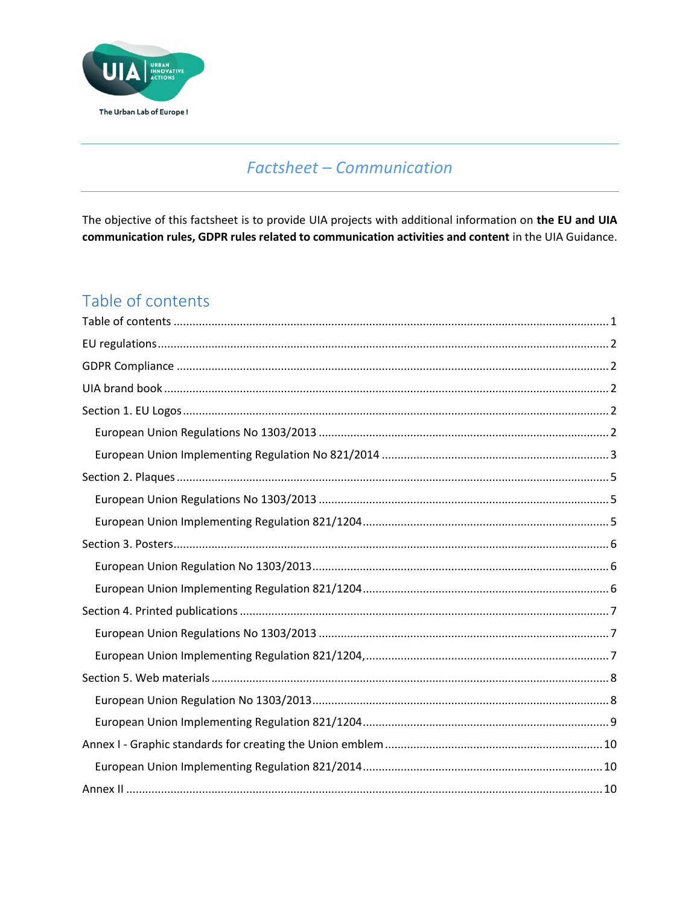

# **Factsheet - Communication**

The objective of this factsheet is to provide UIA projects with additional information on the EU and UIA communication rules, GDPR rules related to communication activities and content in the UIA Guidance.

# <span id="page-0-0"></span>Table of contents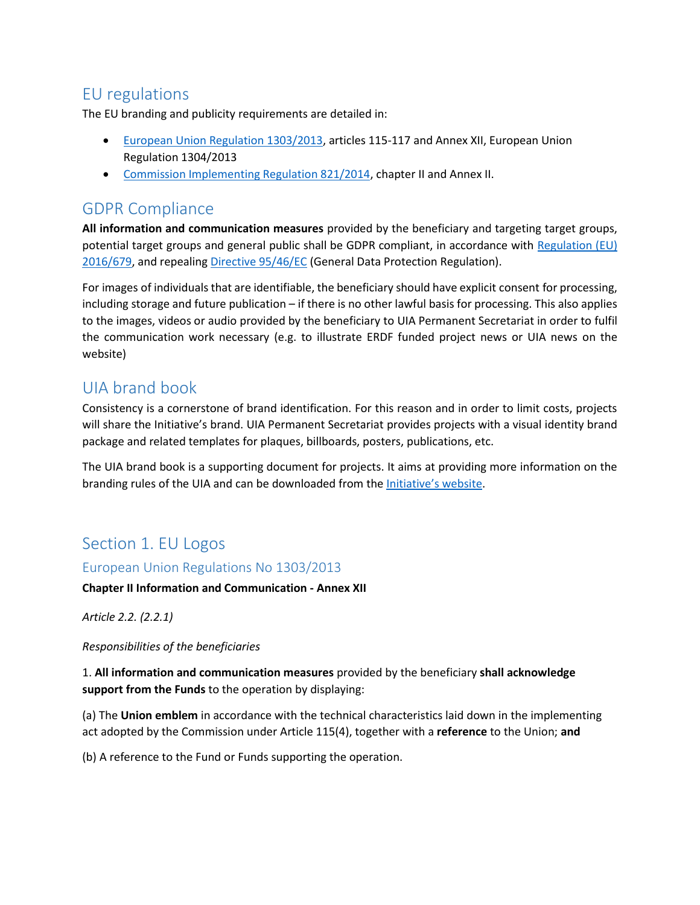# <span id="page-1-0"></span>EU regulations

The EU branding and publicity requirements are detailed in:

- [European Union Regulation 1303/2013,](https://eur-lex.europa.eu/legal-content/EN/TXT/PDF/?uri=CELEX:32013R1303) articles 115-117 and Annex XII, European Union Regulation 1304/2013
- [Commission Implementing Regulation 821/2014,](https://eur-lex.europa.eu/legal-content/EN/TXT/PDF/?uri=CELEX:32014R0821&from=EN) chapter II and Annex II.

# <span id="page-1-1"></span>GDPR Compliance

**All information and communication measures** provided by the beneficiary and targeting target groups, potential target groups and general public shall be GDPR compliant, in accordance with Regulation (EU) [2016/679,](https://eur-lex.europa.eu/legal-content/EN/TXT/PDF/?uri=CELEX:32016R0679&from=EN) and repealing [Directive 95/46/EC](https://eur-lex.europa.eu/legal-content/EN/TXT/PDF/?uri=CELEX:31995L0046&from=EN) (General Data Protection Regulation).

For images of individuals that are identifiable, the beneficiary should have explicit consent for processing, including storage and future publication – if there is no other lawful basis for processing. This also applies to the images, videos or audio provided by the beneficiary to UIA Permanent Secretariat in order to fulfil the communication work necessary (e.g. to illustrate ERDF funded project news or UIA news on the website)

# <span id="page-1-2"></span>UIA brand book

Consistency is a cornerstone of brand identification. For this reason and in order to limit costs, projects will share the Initiative's brand. UIA Permanent Secretariat provides projects with a visual identity brand package and related templates for plaques, billboards, posters, publications, etc.

The UIA brand book is a supporting document for projects. It aims at providing more information on the branding rules of the UIA and can be downloaded from the *[Initiative's website](https://www.uia-initiative.eu/en/uia-branding-book-and-communication-tools)*.

# <span id="page-1-3"></span>Section 1. EU Logos

### <span id="page-1-4"></span>European Union Regulations No 1303/2013

#### **Chapter II Information and Communication - Annex XII**

*Article 2.2. (2.2.1)* 

#### *Responsibilities of the beneficiaries*

1. **All information and communication measures** provided by the beneficiary **shall acknowledge support from the Funds** to the operation by displaying:

(a) The **Union emblem** in accordance with the technical characteristics laid down in the implementing act adopted by the Commission under Article 115(4), together with a **reference** to the Union; **and**

(b) A reference to the Fund or Funds supporting the operation.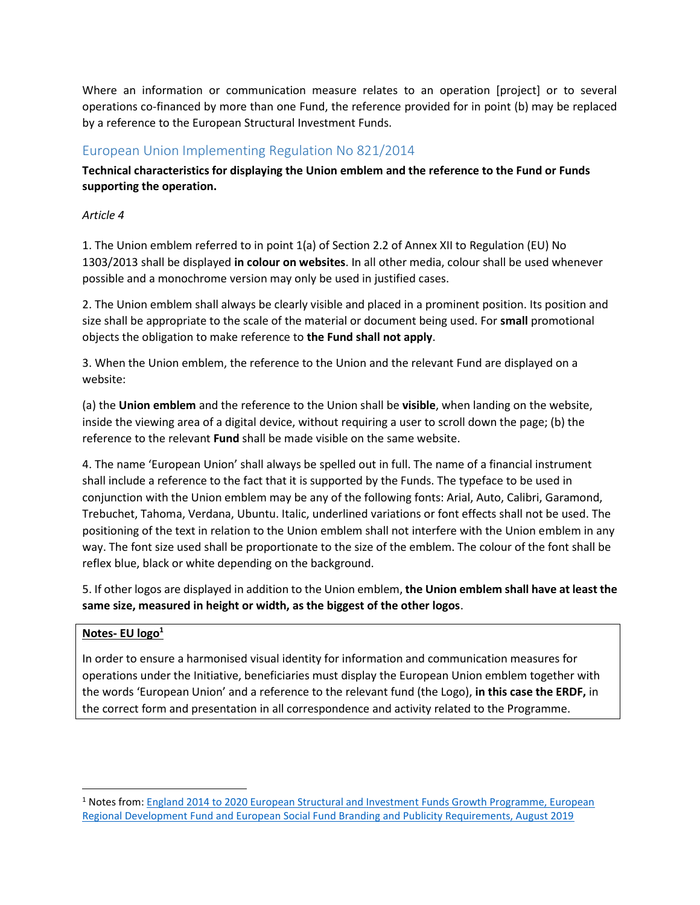Where an information or communication measure relates to an operation [project] or to several operations co-financed by more than one Fund, the reference provided for in point (b) may be replaced by a reference to the European Structural Investment Funds.

# <span id="page-2-0"></span>European Union Implementing Regulation No 821/2014

**Technical characteristics for displaying the Union emblem and the reference to the Fund or Funds supporting the operation.** 

#### *Article 4*

1. The Union emblem referred to in point 1(a) of Section 2.2 of Annex XII to Regulation (EU) No 1303/2013 shall be displayed **in colour on websites**. In all other media, colour shall be used whenever possible and a monochrome version may only be used in justified cases.

2. The Union emblem shall always be clearly visible and placed in a prominent position. Its position and size shall be appropriate to the scale of the material or document being used. For **small** promotional objects the obligation to make reference to **the Fund shall not apply**.

3. When the Union emblem, the reference to the Union and the relevant Fund are displayed on a website:

(a) the **Union emblem** and the reference to the Union shall be **visible**, when landing on the website, inside the viewing area of a digital device, without requiring a user to scroll down the page; (b) the reference to the relevant **Fund** shall be made visible on the same website.

4. The name 'European Union' shall always be spelled out in full. The name of a financial instrument shall include a reference to the fact that it is supported by the Funds. The typeface to be used in conjunction with the Union emblem may be any of the following fonts: Arial, Auto, Calibri, Garamond, Trebuchet, Tahoma, Verdana, Ubuntu. Italic, underlined variations or font effects shall not be used. The positioning of the text in relation to the Union emblem shall not interfere with the Union emblem in any way. The font size used shall be proportionate to the size of the emblem. The colour of the font shall be reflex blue, black or white depending on the background.

5. If other logos are displayed in addition to the Union emblem, **the Union emblem shall have at least the same size, measured in height or width, as the biggest of the other logos**.

### **Notes- EU logo<sup>1</sup>**

 $\overline{\phantom{a}}$ 

In order to ensure a harmonised visual identity for information and communication measures for operations under the Initiative, beneficiaries must display the European Union emblem together with the words 'European Union' and a reference to the relevant fund (the Logo), **in this case the ERDF,** in the correct form and presentation in all correspondence and activity related to the Programme.

<sup>1</sup> Notes from[: England 2014 to 2020 European Structural and Investment Funds Growth Programme, European](https://assets.publishing.service.gov.uk/government/uploads/system/uploads/attachment_data/file/836956/ESIF-GN-1-005_ESIF_Branding_and_Publicity_Requirements_v8_updated.pdf)  [Regional Development Fund and European Social Fund Branding and Publicity Requirements, August 2019](https://assets.publishing.service.gov.uk/government/uploads/system/uploads/attachment_data/file/836956/ESIF-GN-1-005_ESIF_Branding_and_Publicity_Requirements_v8_updated.pdf)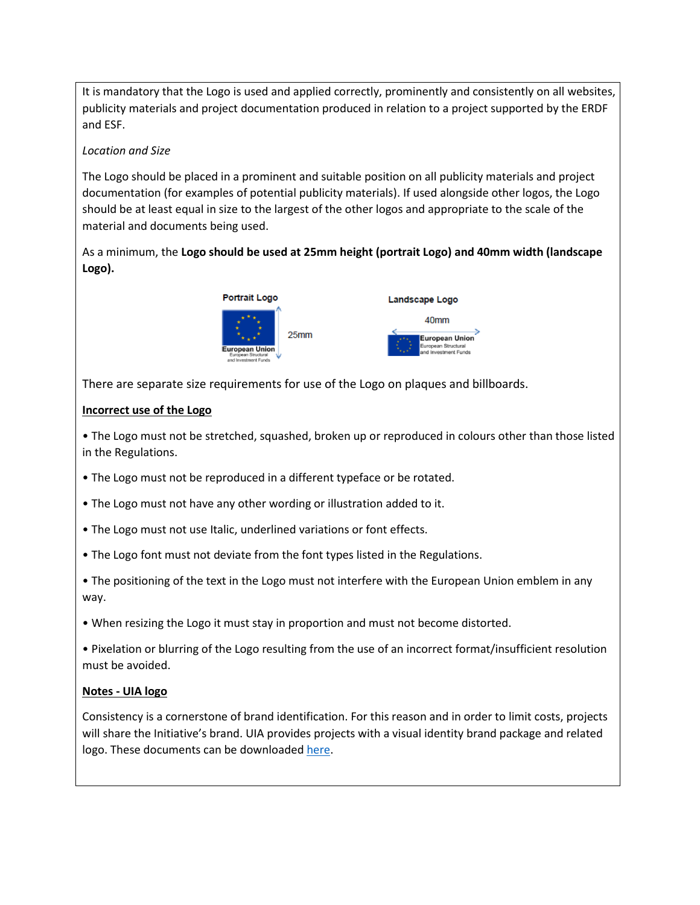It is mandatory that the Logo is used and applied correctly, prominently and consistently on all websites, publicity materials and project documentation produced in relation to a project supported by the ERDF and ESF.

#### *Location and Size*

The Logo should be placed in a prominent and suitable position on all publicity materials and project documentation (for examples of potential publicity materials). If used alongside other logos, the Logo should be at least equal in size to the largest of the other logos and appropriate to the scale of the material and documents being used.

As a minimum, the **Logo should be used at 25mm height (portrait Logo) and 40mm width (landscape Logo).**



There are separate size requirements for use of the Logo on plaques and billboards.

#### **Incorrect use of the Logo**

• The Logo must not be stretched, squashed, broken up or reproduced in colours other than those listed in the Regulations.

- The Logo must not be reproduced in a different typeface or be rotated.
- The Logo must not have any other wording or illustration added to it.
- The Logo must not use Italic, underlined variations or font effects.
- The Logo font must not deviate from the font types listed in the Regulations.
- The positioning of the text in the Logo must not interfere with the European Union emblem in any way.
- When resizing the Logo it must stay in proportion and must not become distorted.

• Pixelation or blurring of the Logo resulting from the use of an incorrect format/insufficient resolution must be avoided.

### **Notes - UIA logo**

Consistency is a cornerstone of brand identification. For this reason and in order to limit costs, projects will share the Initiative's brand. UIA provides projects with a visual identity brand package and related logo. These documents can be downloaded [here.](https://www.uia-initiative.eu/en/uia-branding-book-and-communication-tools)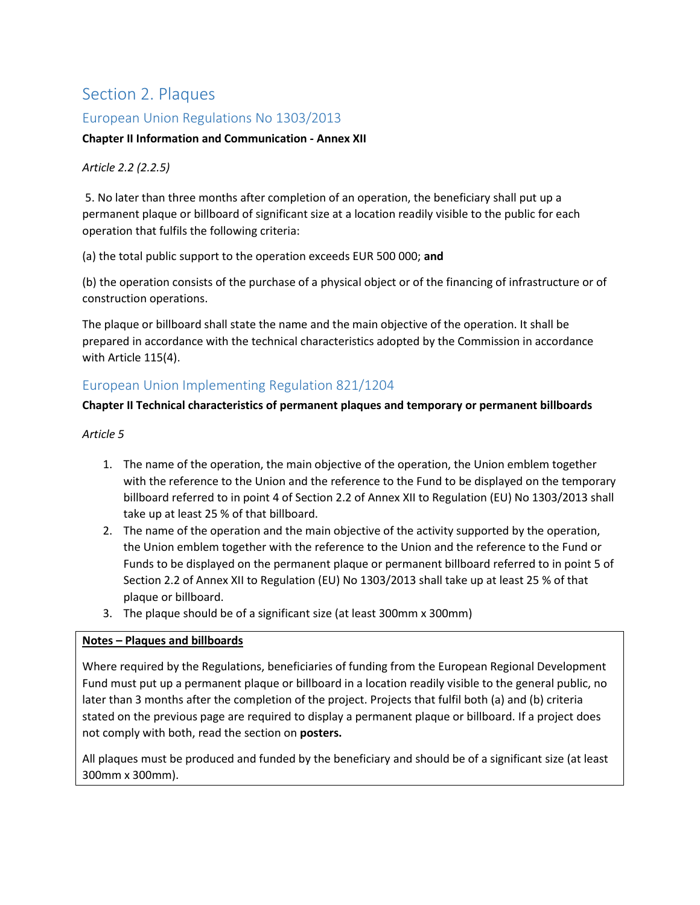# <span id="page-4-0"></span>Section 2. Plaques

### <span id="page-4-1"></span>European Union Regulations No 1303/2013

#### **Chapter II Information and Communication - Annex XII**

#### *Article 2.2 (2.2.5)*

5. No later than three months after completion of an operation, the beneficiary shall put up a permanent plaque or billboard of significant size at a location readily visible to the public for each operation that fulfils the following criteria:

(a) the total public support to the operation exceeds EUR 500 000; **and** 

(b) the operation consists of the purchase of a physical object or of the financing of infrastructure or of construction operations.

The plaque or billboard shall state the name and the main objective of the operation. It shall be prepared in accordance with the technical characteristics adopted by the Commission in accordance with Article 115(4).

# <span id="page-4-2"></span>European Union Implementing Regulation 821/1204

#### **Chapter II Technical characteristics of permanent plaques and temporary or permanent billboards**

#### *Article 5*

- 1. The name of the operation, the main objective of the operation, the Union emblem together with the reference to the Union and the reference to the Fund to be displayed on the temporary billboard referred to in point 4 of Section 2.2 of Annex XII to Regulation (EU) No 1303/2013 shall take up at least 25 % of that billboard.
- 2. The name of the operation and the main objective of the activity supported by the operation, the Union emblem together with the reference to the Union and the reference to the Fund or Funds to be displayed on the permanent plaque or permanent billboard referred to in point 5 of Section 2.2 of Annex XII to Regulation (EU) No 1303/2013 shall take up at least 25 % of that plaque or billboard.
- 3. The plaque should be of a significant size (at least 300mm x 300mm)

#### **Notes – Plaques and billboards**

Where required by the Regulations, beneficiaries of funding from the European Regional Development Fund must put up a permanent plaque or billboard in a location readily visible to the general public, no later than 3 months after the completion of the project. Projects that fulfil both (a) and (b) criteria stated on the previous page are required to display a permanent plaque or billboard. If a project does not comply with both, read the section on **posters.**

All plaques must be produced and funded by the beneficiary and should be of a significant size (at least 300mm x 300mm).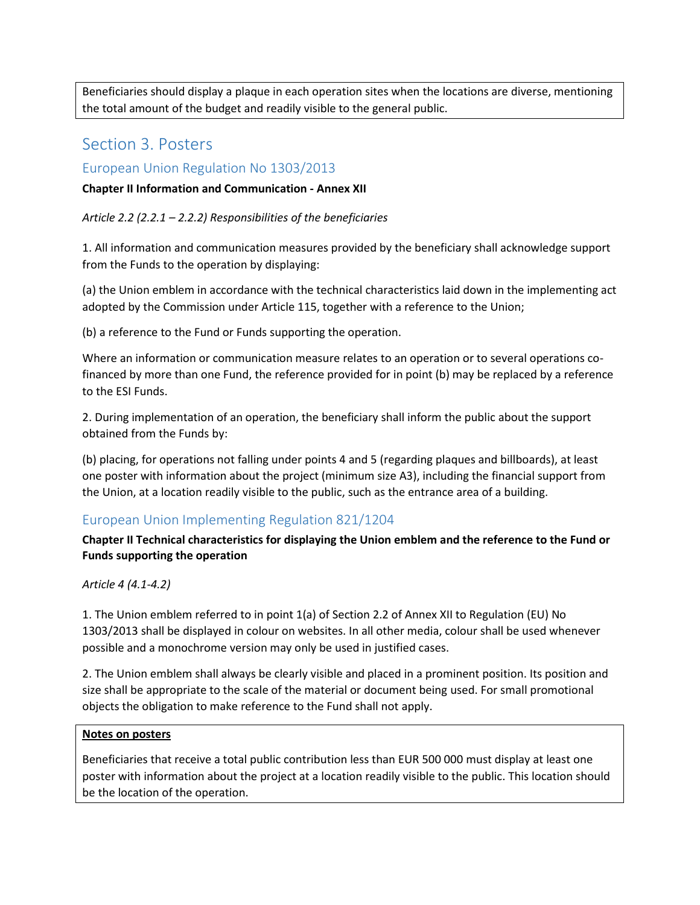Beneficiaries should display a plaque in each operation sites when the locations are diverse, mentioning the total amount of the budget and readily visible to the general public.

# <span id="page-5-0"></span>Section 3. Posters

### <span id="page-5-1"></span>European Union Regulation No 1303/2013

#### **Chapter II Information and Communication - Annex XII**

*Article 2.2 (2.2.1 – 2.2.2) Responsibilities of the beneficiaries* 

1. All information and communication measures provided by the beneficiary shall acknowledge support from the Funds to the operation by displaying:

(a) the Union emblem in accordance with the technical characteristics laid down in the implementing act adopted by the Commission under Article 115, together with a reference to the Union;

(b) a reference to the Fund or Funds supporting the operation.

Where an information or communication measure relates to an operation or to several operations cofinanced by more than one Fund, the reference provided for in point (b) may be replaced by a reference to the ESI Funds.

2. During implementation of an operation, the beneficiary shall inform the public about the support obtained from the Funds by:

(b) placing, for operations not falling under points 4 and 5 (regarding plaques and billboards), at least one poster with information about the project (minimum size A3), including the financial support from the Union, at a location readily visible to the public, such as the entrance area of a building.

# <span id="page-5-2"></span>European Union Implementing Regulation 821/1204

**Chapter II Technical characteristics for displaying the Union emblem and the reference to the Fund or Funds supporting the operation** 

*Article 4 (4.1-4.2)* 

1. The Union emblem referred to in point 1(a) of Section 2.2 of Annex XII to Regulation (EU) No 1303/2013 shall be displayed in colour on websites. In all other media, colour shall be used whenever possible and a monochrome version may only be used in justified cases.

2. The Union emblem shall always be clearly visible and placed in a prominent position. Its position and size shall be appropriate to the scale of the material or document being used. For small promotional objects the obligation to make reference to the Fund shall not apply.

#### **Notes on posters**

Beneficiaries that receive a total public contribution less than EUR 500 000 must display at least one poster with information about the project at a location readily visible to the public. This location should be the location of the operation.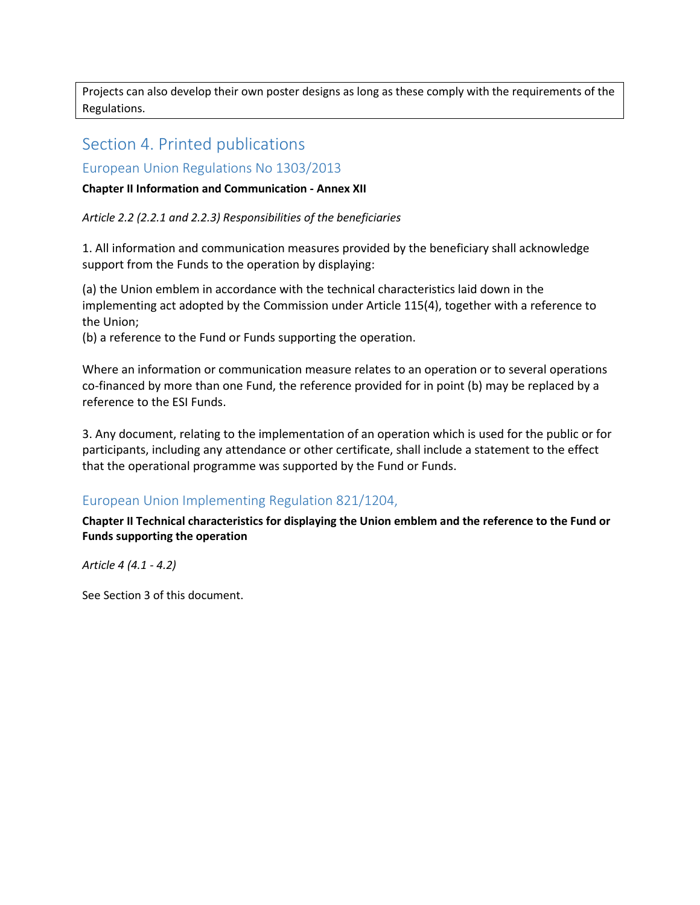Projects can also develop their own poster designs as long as these comply with the requirements of the Regulations.

# <span id="page-6-0"></span>Section 4. Printed publications

### <span id="page-6-1"></span>European Union Regulations No 1303/2013

#### **Chapter II Information and Communication - Annex XII**

*Article 2.2 (2.2.1 and 2.2.3) Responsibilities of the beneficiaries* 

1. All information and communication measures provided by the beneficiary shall acknowledge support from the Funds to the operation by displaying:

(a) the Union emblem in accordance with the technical characteristics laid down in the implementing act adopted by the Commission under Article 115(4), together with a reference to the Union;

(b) a reference to the Fund or Funds supporting the operation.

Where an information or communication measure relates to an operation or to several operations co-financed by more than one Fund, the reference provided for in point (b) may be replaced by a reference to the ESI Funds.

3. Any document, relating to the implementation of an operation which is used for the public or for participants, including any attendance or other certificate, shall include a statement to the effect that the operational programme was supported by the Fund or Funds.

# <span id="page-6-2"></span>European Union Implementing Regulation 821/1204,

**Chapter II Technical characteristics for displaying the Union emblem and the reference to the Fund or Funds supporting the operation** 

*Article 4 (4.1 - 4.2)*

See Section 3 of this document.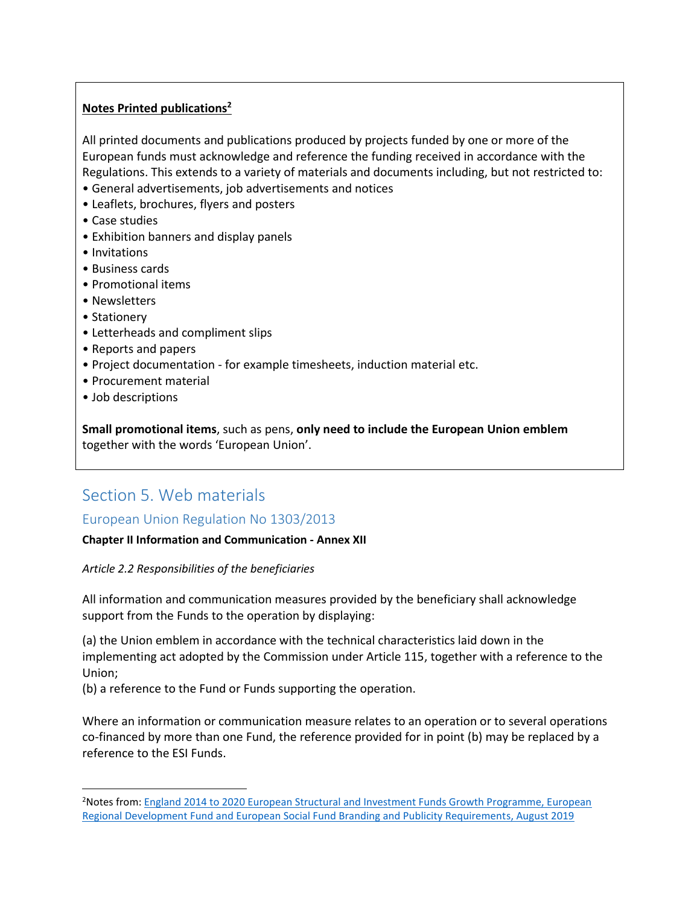### **Notes Printed publications<sup>2</sup>**

All printed documents and publications produced by projects funded by one or more of the European funds must acknowledge and reference the funding received in accordance with the Regulations. This extends to a variety of materials and documents including, but not restricted to:

- General advertisements, job advertisements and notices
- Leaflets, brochures, flyers and posters
- Case studies
- Exhibition banners and display panels
- Invitations
- Business cards
- Promotional items
- Newsletters
- Stationery
- Letterheads and compliment slips
- Reports and papers
- Project documentation for example timesheets, induction material etc.
- Procurement material
- Job descriptions

 $\overline{\phantom{a}}$ 

**Small promotional items**, such as pens, **only need to include the European Union emblem** together with the words 'European Union'.

# <span id="page-7-0"></span>Section 5. Web materials

<span id="page-7-1"></span>European Union Regulation No 1303/2013

### **Chapter II Information and Communication - Annex XII**

*Article 2.2 Responsibilities of the beneficiaries* 

All information and communication measures provided by the beneficiary shall acknowledge support from the Funds to the operation by displaying:

(a) the Union emblem in accordance with the technical characteristics laid down in the implementing act adopted by the Commission under Article 115, together with a reference to the Union;

(b) a reference to the Fund or Funds supporting the operation.

Where an information or communication measure relates to an operation or to several operations co-financed by more than one Fund, the reference provided for in point (b) may be replaced by a reference to the ESI Funds.

<sup>2</sup>Notes from: [England 2014 to 2020 European Structural and Investment Funds Growth Programme, European](https://assets.publishing.service.gov.uk/government/uploads/system/uploads/attachment_data/file/836956/ESIF-GN-1-005_ESIF_Branding_and_Publicity_Requirements_v8_updated.pdf)  [Regional Development Fund and European Social Fund Branding and Publicity Requirements, August 2019](https://assets.publishing.service.gov.uk/government/uploads/system/uploads/attachment_data/file/836956/ESIF-GN-1-005_ESIF_Branding_and_Publicity_Requirements_v8_updated.pdf)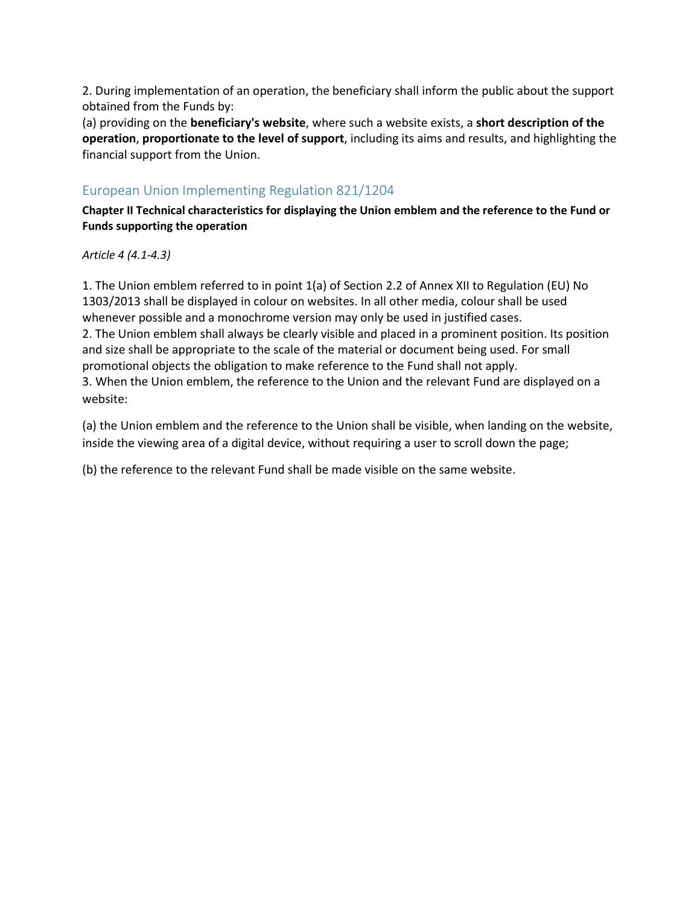2. During implementation of an operation, the beneficiary shall inform the public about the support obtained from the Funds by:

(a) providing on the **beneficiary's website**, where such a website exists, a **short description of the operation**, **proportionate to the level of support**, including its aims and results, and highlighting the financial support from the Union.

# <span id="page-8-0"></span>European Union Implementing Regulation 821/1204

**Chapter II Technical characteristics for displaying the Union emblem and the reference to the Fund or Funds supporting the operation**

*Article 4 (4.1-4.3)* 

1. The Union emblem referred to in point 1(a) of Section 2.2 of Annex XII to Regulation (EU) No 1303/2013 shall be displayed in colour on websites. In all other media, colour shall be used whenever possible and a monochrome version may only be used in justified cases. 2. The Union emblem shall always be clearly visible and placed in a prominent position. Its position and size shall be appropriate to the scale of the material or document being used. For small promotional objects the obligation to make reference to the Fund shall not apply. 3. When the Union emblem, the reference to the Union and the relevant Fund are displayed on a website:

(a) the Union emblem and the reference to the Union shall be visible, when landing on the website, inside the viewing area of a digital device, without requiring a user to scroll down the page;

(b) the reference to the relevant Fund shall be made visible on the same website.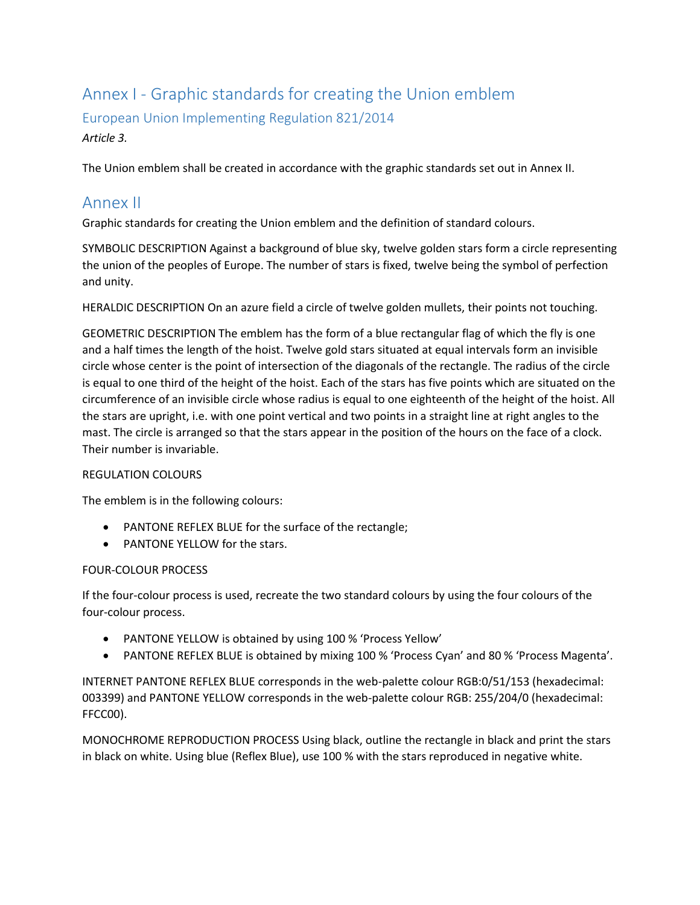# <span id="page-9-0"></span>Annex I - Graphic standards for creating the Union emblem

<span id="page-9-1"></span>European Union Implementing Regulation 821/2014

# *Article 3.*

The Union emblem shall be created in accordance with the graphic standards set out in Annex II.

# <span id="page-9-2"></span>Annex II

Graphic standards for creating the Union emblem and the definition of standard colours.

SYMBOLIC DESCRIPTION Against a background of blue sky, twelve golden stars form a circle representing the union of the peoples of Europe. The number of stars is fixed, twelve being the symbol of perfection and unity.

HERALDIC DESCRIPTION On an azure field a circle of twelve golden mullets, their points not touching.

GEOMETRIC DESCRIPTION The emblem has the form of a blue rectangular flag of which the fly is one and a half times the length of the hoist. Twelve gold stars situated at equal intervals form an invisible circle whose center is the point of intersection of the diagonals of the rectangle. The radius of the circle is equal to one third of the height of the hoist. Each of the stars has five points which are situated on the circumference of an invisible circle whose radius is equal to one eighteenth of the height of the hoist. All the stars are upright, i.e. with one point vertical and two points in a straight line at right angles to the mast. The circle is arranged so that the stars appear in the position of the hours on the face of a clock. Their number is invariable.

### REGULATION COLOURS

The emblem is in the following colours:

- PANTONE REFLEX BLUE for the surface of the rectangle;
- PANTONE YELLOW for the stars.

### FOUR-COLOUR PROCESS

If the four-colour process is used, recreate the two standard colours by using the four colours of the four-colour process.

- PANTONE YELLOW is obtained by using 100 % 'Process Yellow'
- PANTONE REFLEX BLUE is obtained by mixing 100 % 'Process Cyan' and 80 % 'Process Magenta'.

INTERNET PANTONE REFLEX BLUE corresponds in the web-palette colour RGB:0/51/153 (hexadecimal: 003399) and PANTONE YELLOW corresponds in the web-palette colour RGB: 255/204/0 (hexadecimal: FFCC00).

MONOCHROME REPRODUCTION PROCESS Using black, outline the rectangle in black and print the stars in black on white. Using blue (Reflex Blue), use 100 % with the stars reproduced in negative white.